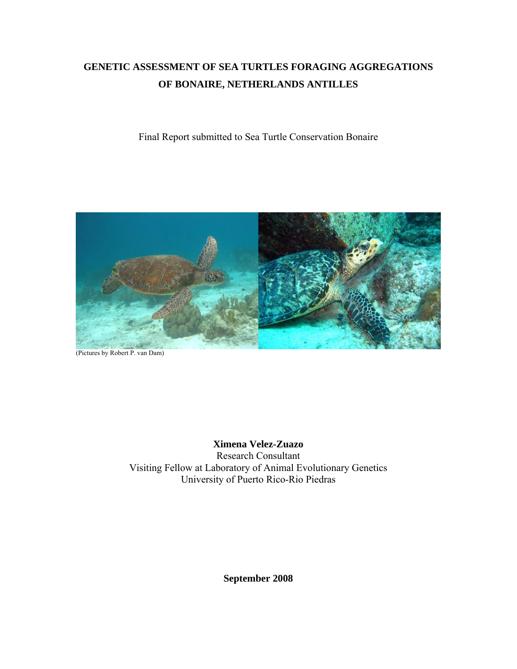# **GENETIC ASSESSMENT OF SEA TURTLES FORAGING AGGREGATIONS OF BONAIRE, NETHERLANDS ANTILLES**

Final Report submitted to Sea Turtle Conservation Bonaire



(Pictures by Robert P. van Dam)

**Ximena Velez-Zuazo**  Research Consultant Visiting Fellow at Laboratory of Animal Evolutionary Genetics

University of Puerto Rico-Rio Piedras

**September 2008**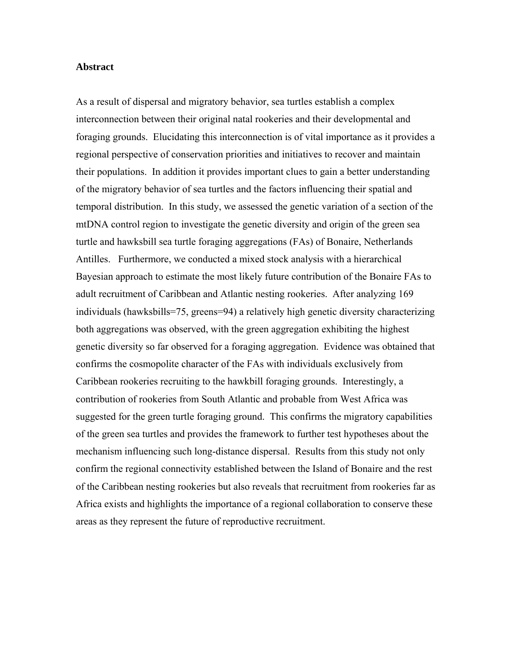#### **Abstract**

As a result of dispersal and migratory behavior, sea turtles establish a complex interconnection between their original natal rookeries and their developmental and foraging grounds. Elucidating this interconnection is of vital importance as it provides a regional perspective of conservation priorities and initiatives to recover and maintain their populations. In addition it provides important clues to gain a better understanding of the migratory behavior of sea turtles and the factors influencing their spatial and temporal distribution. In this study, we assessed the genetic variation of a section of the mtDNA control region to investigate the genetic diversity and origin of the green sea turtle and hawksbill sea turtle foraging aggregations (FAs) of Bonaire, Netherlands Antilles. Furthermore, we conducted a mixed stock analysis with a hierarchical Bayesian approach to estimate the most likely future contribution of the Bonaire FAs to adult recruitment of Caribbean and Atlantic nesting rookeries. After analyzing 169 individuals (hawksbills=75, greens=94) a relatively high genetic diversity characterizing both aggregations was observed, with the green aggregation exhibiting the highest genetic diversity so far observed for a foraging aggregation. Evidence was obtained that confirms the cosmopolite character of the FAs with individuals exclusively from Caribbean rookeries recruiting to the hawkbill foraging grounds. Interestingly, a contribution of rookeries from South Atlantic and probable from West Africa was suggested for the green turtle foraging ground. This confirms the migratory capabilities of the green sea turtles and provides the framework to further test hypotheses about the mechanism influencing such long-distance dispersal. Results from this study not only confirm the regional connectivity established between the Island of Bonaire and the rest of the Caribbean nesting rookeries but also reveals that recruitment from rookeries far as Africa exists and highlights the importance of a regional collaboration to conserve these areas as they represent the future of reproductive recruitment.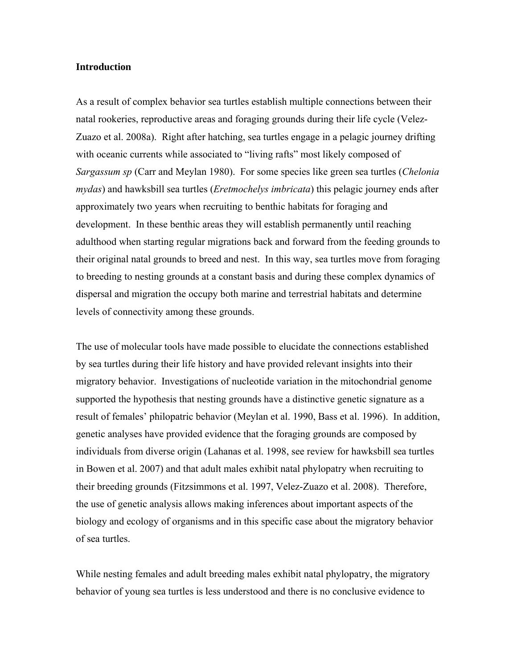### **Introduction**

As a result of complex behavior sea turtles establish multiple connections between their natal rookeries, reproductive areas and foraging grounds during their life cycle (Velez-Zuazo et al. 2008a). Right after hatching, sea turtles engage in a pelagic journey drifting with oceanic currents while associated to "living rafts" most likely composed of *Sargassum sp* (Carr and Meylan 1980). For some species like green sea turtles (*Chelonia mydas*) and hawksbill sea turtles (*Eretmochelys imbricata*) this pelagic journey ends after approximately two years when recruiting to benthic habitats for foraging and development. In these benthic areas they will establish permanently until reaching adulthood when starting regular migrations back and forward from the feeding grounds to their original natal grounds to breed and nest. In this way, sea turtles move from foraging to breeding to nesting grounds at a constant basis and during these complex dynamics of dispersal and migration the occupy both marine and terrestrial habitats and determine levels of connectivity among these grounds.

The use of molecular tools have made possible to elucidate the connections established by sea turtles during their life history and have provided relevant insights into their migratory behavior. Investigations of nucleotide variation in the mitochondrial genome supported the hypothesis that nesting grounds have a distinctive genetic signature as a result of females' philopatric behavior (Meylan et al. 1990, Bass et al. 1996). In addition, genetic analyses have provided evidence that the foraging grounds are composed by individuals from diverse origin (Lahanas et al. 1998, see review for hawksbill sea turtles in Bowen et al. 2007) and that adult males exhibit natal phylopatry when recruiting to their breeding grounds (Fitzsimmons et al. 1997, Velez-Zuazo et al. 2008). Therefore, the use of genetic analysis allows making inferences about important aspects of the biology and ecology of organisms and in this specific case about the migratory behavior of sea turtles.

While nesting females and adult breeding males exhibit natal phylopatry, the migratory behavior of young sea turtles is less understood and there is no conclusive evidence to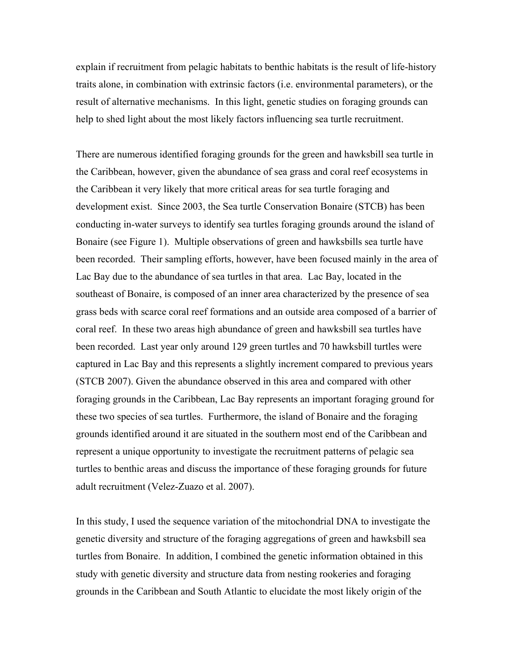explain if recruitment from pelagic habitats to benthic habitats is the result of life-history traits alone, in combination with extrinsic factors (i.e. environmental parameters), or the result of alternative mechanisms. In this light, genetic studies on foraging grounds can help to shed light about the most likely factors influencing sea turtle recruitment.

There are numerous identified foraging grounds for the green and hawksbill sea turtle in the Caribbean, however, given the abundance of sea grass and coral reef ecosystems in the Caribbean it very likely that more critical areas for sea turtle foraging and development exist. Since 2003, the Sea turtle Conservation Bonaire (STCB) has been conducting in-water surveys to identify sea turtles foraging grounds around the island of Bonaire (see Figure 1). Multiple observations of green and hawksbills sea turtle have been recorded. Their sampling efforts, however, have been focused mainly in the area of Lac Bay due to the abundance of sea turtles in that area. Lac Bay, located in the southeast of Bonaire, is composed of an inner area characterized by the presence of sea grass beds with scarce coral reef formations and an outside area composed of a barrier of coral reef. In these two areas high abundance of green and hawksbill sea turtles have been recorded. Last year only around 129 green turtles and 70 hawksbill turtles were captured in Lac Bay and this represents a slightly increment compared to previous years (STCB 2007). Given the abundance observed in this area and compared with other foraging grounds in the Caribbean, Lac Bay represents an important foraging ground for these two species of sea turtles. Furthermore, the island of Bonaire and the foraging grounds identified around it are situated in the southern most end of the Caribbean and represent a unique opportunity to investigate the recruitment patterns of pelagic sea turtles to benthic areas and discuss the importance of these foraging grounds for future adult recruitment (Velez-Zuazo et al. 2007).

In this study, I used the sequence variation of the mitochondrial DNA to investigate the genetic diversity and structure of the foraging aggregations of green and hawksbill sea turtles from Bonaire. In addition, I combined the genetic information obtained in this study with genetic diversity and structure data from nesting rookeries and foraging grounds in the Caribbean and South Atlantic to elucidate the most likely origin of the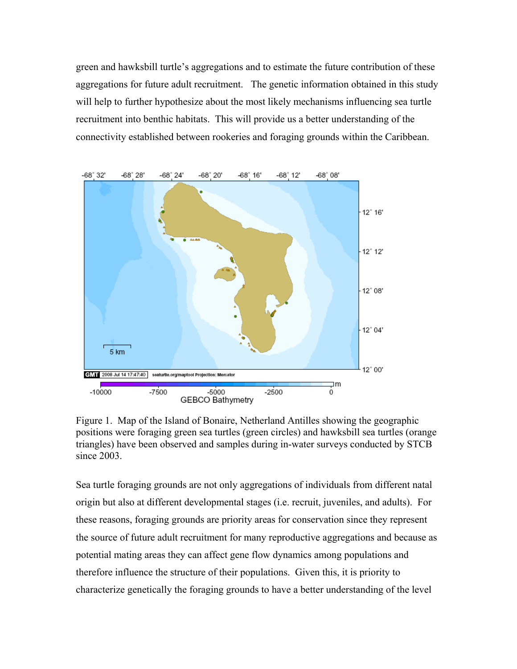green and hawksbill turtle's aggregations and to estimate the future contribution of these aggregations for future adult recruitment. The genetic information obtained in this study will help to further hypothesize about the most likely mechanisms influencing sea turtle recruitment into benthic habitats. This will provide us a better understanding of the connectivity established between rookeries and foraging grounds within the Caribbean.



Figure 1. Map of the Island of Bonaire, Netherland Antilles showing the geographic positions were foraging green sea turtles (green circles) and hawksbill sea turtles (orange triangles) have been observed and samples during in-water surveys conducted by STCB since 2003.

Sea turtle foraging grounds are not only aggregations of individuals from different natal origin but also at different developmental stages (i.e. recruit, juveniles, and adults). For these reasons, foraging grounds are priority areas for conservation since they represent the source of future adult recruitment for many reproductive aggregations and because as potential mating areas they can affect gene flow dynamics among populations and therefore influence the structure of their populations. Given this, it is priority to characterize genetically the foraging grounds to have a better understanding of the level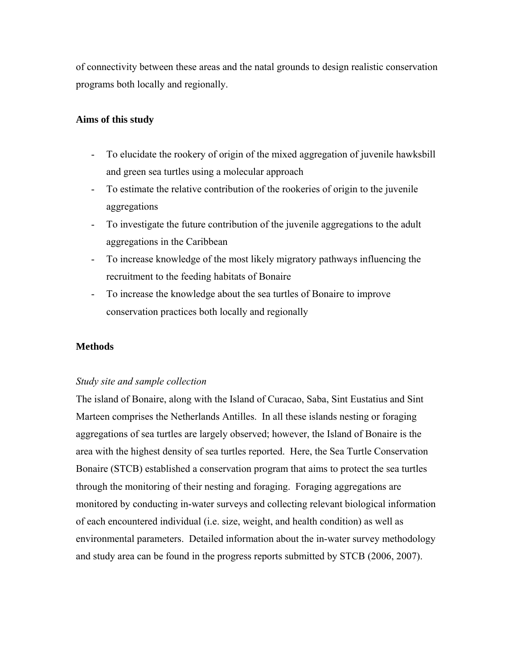of connectivity between these areas and the natal grounds to design realistic conservation programs both locally and regionally.

# **Aims of this study**

- To elucidate the rookery of origin of the mixed aggregation of juvenile hawksbill and green sea turtles using a molecular approach
- To estimate the relative contribution of the rookeries of origin to the juvenile aggregations
- To investigate the future contribution of the juvenile aggregations to the adult aggregations in the Caribbean
- To increase knowledge of the most likely migratory pathways influencing the recruitment to the feeding habitats of Bonaire
- To increase the knowledge about the sea turtles of Bonaire to improve conservation practices both locally and regionally

# **Methods**

### *Study site and sample collection*

The island of Bonaire, along with the Island of Curacao, Saba, Sint Eustatius and Sint Marteen comprises the Netherlands Antilles. In all these islands nesting or foraging aggregations of sea turtles are largely observed; however, the Island of Bonaire is the area with the highest density of sea turtles reported. Here, the Sea Turtle Conservation Bonaire (STCB) established a conservation program that aims to protect the sea turtles through the monitoring of their nesting and foraging. Foraging aggregations are monitored by conducting in-water surveys and collecting relevant biological information of each encountered individual (i.e. size, weight, and health condition) as well as environmental parameters. Detailed information about the in-water survey methodology and study area can be found in the progress reports submitted by STCB (2006, 2007).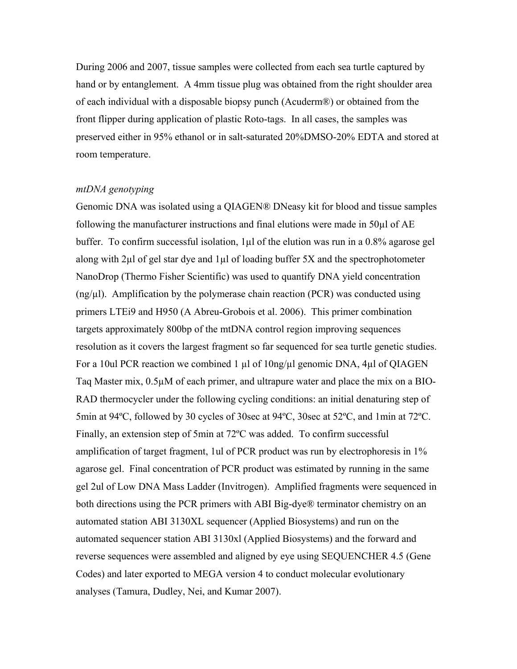During 2006 and 2007, tissue samples were collected from each sea turtle captured by hand or by entanglement. A 4mm tissue plug was obtained from the right shoulder area of each individual with a disposable biopsy punch (Acuderm®) or obtained from the front flipper during application of plastic Roto-tags. In all cases, the samples was preserved either in 95% ethanol or in salt-saturated 20%DMSO-20% EDTA and stored at room temperature.

#### *mtDNA genotyping*

Genomic DNA was isolated using a QIAGEN® DNeasy kit for blood and tissue samples following the manufacturer instructions and final elutions were made in 50µl of AE buffer. To confirm successful isolation, 1µl of the elution was run in a 0.8% agarose gel along with 2µl of gel star dye and 1µl of loading buffer 5X and the spectrophotometer NanoDrop (Thermo Fisher Scientific) was used to quantify DNA yield concentration  $(\text{ng}/\mu l)$ . Amplification by the polymerase chain reaction (PCR) was conducted using primers LTEi9 and H950 (A Abreu-Grobois et al. 2006). This primer combination targets approximately 800bp of the mtDNA control region improving sequences resolution as it covers the largest fragment so far sequenced for sea turtle genetic studies. For a 10ul PCR reaction we combined 1 µl of 10ng/µl genomic DNA, 4µl of QIAGEN Taq Master mix, 0.5µM of each primer, and ultrapure water and place the mix on a BIO-RAD thermocycler under the following cycling conditions: an initial denaturing step of 5min at 94ºC, followed by 30 cycles of 30sec at 94ºC, 30sec at 52ºC, and 1min at 72ºC. Finally, an extension step of 5min at 72ºC was added. To confirm successful amplification of target fragment, 1ul of PCR product was run by electrophoresis in 1% agarose gel. Final concentration of PCR product was estimated by running in the same gel 2ul of Low DNA Mass Ladder (Invitrogen). Amplified fragments were sequenced in both directions using the PCR primers with ABI Big-dye® terminator chemistry on an automated station ABI 3130XL sequencer (Applied Biosystems) and run on the automated sequencer station ABI 3130xl (Applied Biosystems) and the forward and reverse sequences were assembled and aligned by eye using SEQUENCHER 4.5 (Gene Codes) and later exported to MEGA version 4 to conduct molecular evolutionary analyses (Tamura, Dudley, Nei, and Kumar 2007).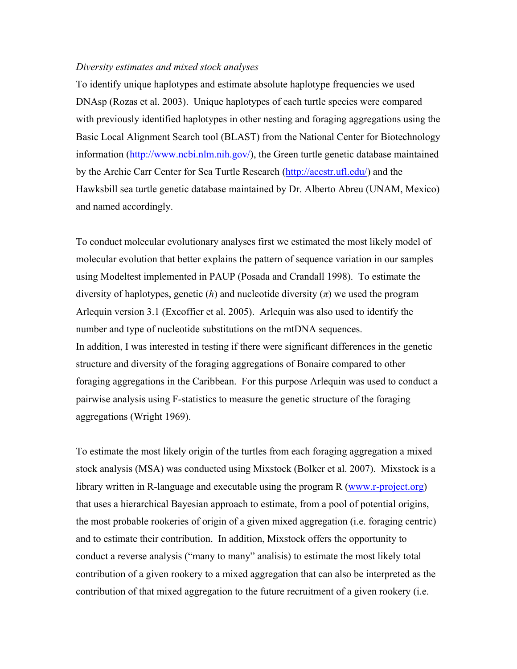## *Diversity estimates and mixed stock analyses*

To identify unique haplotypes and estimate absolute haplotype frequencies we used DNAsp (Rozas et al. 2003). Unique haplotypes of each turtle species were compared with previously identified haplotypes in other nesting and foraging aggregations using the Basic Local Alignment Search tool (BLAST) from the National Center for Biotechnology information (http://www.ncbi.nlm.nih.gov/), the Green turtle genetic database maintained by the Archie Carr Center for Sea Turtle Research (http://accstr.ufl.edu/) and the Hawksbill sea turtle genetic database maintained by Dr. Alberto Abreu (UNAM, Mexico) and named accordingly.

To conduct molecular evolutionary analyses first we estimated the most likely model of molecular evolution that better explains the pattern of sequence variation in our samples using Modeltest implemented in PAUP (Posada and Crandall 1998). To estimate the diversity of haplotypes, genetic  $(h)$  and nucleotide diversity  $(\pi)$  we used the program Arlequin version 3.1 (Excoffier et al. 2005). Arlequin was also used to identify the number and type of nucleotide substitutions on the mtDNA sequences. In addition, I was interested in testing if there were significant differences in the genetic structure and diversity of the foraging aggregations of Bonaire compared to other foraging aggregations in the Caribbean. For this purpose Arlequin was used to conduct a pairwise analysis using F-statistics to measure the genetic structure of the foraging aggregations (Wright 1969).

To estimate the most likely origin of the turtles from each foraging aggregation a mixed stock analysis (MSA) was conducted using Mixstock (Bolker et al. 2007). Mixstock is a library written in R-language and executable using the program R (www.r-project.org) that uses a hierarchical Bayesian approach to estimate, from a pool of potential origins, the most probable rookeries of origin of a given mixed aggregation (i.e. foraging centric) and to estimate their contribution. In addition, Mixstock offers the opportunity to conduct a reverse analysis ("many to many" analisis) to estimate the most likely total contribution of a given rookery to a mixed aggregation that can also be interpreted as the contribution of that mixed aggregation to the future recruitment of a given rookery (i.e.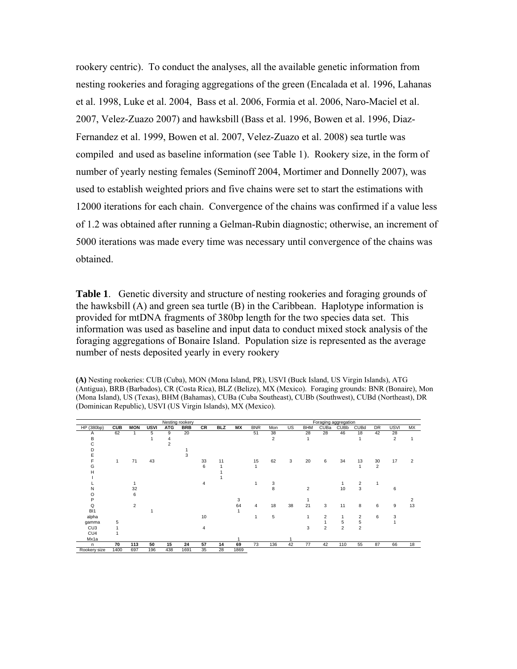rookery centric). To conduct the analyses, all the available genetic information from nesting rookeries and foraging aggregations of the green (Encalada et al. 1996, Lahanas et al. 1998, Luke et al. 2004, Bass et al. 2006, Formia et al. 2006, Naro-Maciel et al. 2007, Velez-Zuazo 2007) and hawksbill (Bass et al. 1996, Bowen et al. 1996, Diaz-Fernandez et al. 1999, Bowen et al. 2007, Velez-Zuazo et al. 2008) sea turtle was compiled and used as baseline information (see Table 1). Rookery size, in the form of number of yearly nesting females (Seminoff 2004, Mortimer and Donnelly 2007), was used to establish weighted priors and five chains were set to start the estimations with 12000 iterations for each chain. Convergence of the chains was confirmed if a value less of 1.2 was obtained after running a Gelman-Rubin diagnostic; otherwise, an increment of 5000 iterations was made every time was necessary until convergence of the chains was obtained.

**Table 1**. Genetic diversity and structure of nesting rookeries and foraging grounds of the hawksbill (A) and green sea turtle (B) in the Caribbean. Haplotype information is provided for mtDNA fragments of 380bp length for the two species data set. This information was used as baseline and input data to conduct mixed stock analysis of the foraging aggregations of Bonaire Island. Population size is represented as the average number of nests deposited yearly in every rookery

**(A)** Nesting rookeries: CUB (Cuba), MON (Mona Island, PR), USVI (Buck Island, US Virgin Islands), ATG (Antigua), BRB (Barbados), CR (Costa Rica), BLZ (Belize), MX (Mexico). Foraging grounds: BNR (Bonaire), Mon (Mona Island), US (Texas), BHM (Bahamas), CUBa (Cuba Southeast), CUBb (Southwest), CUBd (Northeast), DR (Dominican Republic), USVI (US Virgin Islands), MX (Mexico).

| Nesting rookery |            |                |             |            |            |    |            | Foraging aggregation |            |                |     |            |                |                |                |                |                |           |
|-----------------|------------|----------------|-------------|------------|------------|----|------------|----------------------|------------|----------------|-----|------------|----------------|----------------|----------------|----------------|----------------|-----------|
| HP (380bp)      | <b>CUB</b> | <b>MON</b>     | <b>USVI</b> | <b>ATG</b> | <b>BRB</b> | CR | <b>BLZ</b> | МX                   | <b>BNR</b> | Mon            | US. | <b>BHM</b> | CUBa           | <b>CUBb</b>    | <b>CUBd</b>    | <b>DR</b>      | <b>USVI</b>    | <b>MX</b> |
| Α               | 62         | 1              | 5           | 9          | 20         |    |            |                      | 51         | 38             |     | 28         | 28             | 46             | 18             | 42             | 28             |           |
| в               |            |                |             | 4          |            |    |            |                      |            | $\overline{2}$ |     | 1          |                |                |                |                | $\overline{2}$ |           |
| C               |            |                |             | 2          |            |    |            |                      |            |                |     |            |                |                |                |                |                |           |
| n               |            |                |             |            |            |    |            |                      |            |                |     |            |                |                |                |                |                |           |
| E               |            |                |             |            |            |    |            |                      |            |                |     |            |                |                |                |                |                |           |
|                 | 1          | 71             | 43          |            |            | 33 | 11         |                      | 15         | 62             | 3   | 20         | 6              | 34             | 13             | 30             | 17             | 2         |
| G               |            |                |             |            |            | 6  |            |                      |            |                |     |            |                |                |                | $\overline{2}$ |                |           |
| н               |            |                |             |            |            |    |            |                      |            |                |     |            |                |                |                |                |                |           |
|                 |            |                |             |            |            |    |            |                      |            |                |     |            |                |                |                |                |                |           |
|                 |            |                |             |            |            | 4  |            |                      |            | 3              |     |            |                |                | $\overline{2}$ |                |                |           |
| N               |            | 32             |             |            |            |    |            |                      |            | 8              |     | 2          |                | 10             | 3              |                | 6              |           |
|                 |            | 6              |             |            |            |    |            |                      |            |                |     |            |                |                |                |                |                |           |
| P               |            |                |             |            |            |    |            | 3                    |            |                |     |            |                |                |                |                |                |           |
| Q               |            | $\overline{2}$ |             |            |            |    |            | 64                   | 4          | 18             | 38  | 21         | 3              | 11             | 8              | 6              | 9              | 13        |
| B <sub>1</sub>  |            |                |             |            |            |    |            |                      |            |                |     |            |                |                |                |                |                |           |
| alpha           |            |                |             |            |            | 10 |            |                      |            | 5              |     | 1          | 2              | $\mathbf{1}$   | $\overline{2}$ | 6              | 3              |           |
| gamma           | 5          |                |             |            |            |    |            |                      |            |                |     |            |                | 5              | 5              |                |                |           |
| CU <sub>3</sub> |            |                |             |            |            | 4  |            |                      |            |                |     | 3          | $\overline{2}$ | $\overline{2}$ | $\overline{2}$ |                |                |           |
| CU4             |            |                |             |            |            |    |            |                      |            |                |     |            |                |                |                |                |                |           |
| Mx1a            |            |                |             |            |            |    |            |                      |            |                |     |            |                |                |                |                |                |           |
| n.              | 70         | 113            | 50          | 15         | 24         | 57 | 14         | 69                   | 73         | 136            | 42  | 77         | 42             | 110            | 55             | 87             | 66             | 18        |
| Rookery size    | 1400       | 697            | 196         | 438        | 1691       | 35 | 28         | 1869                 |            |                |     |            |                |                |                |                |                |           |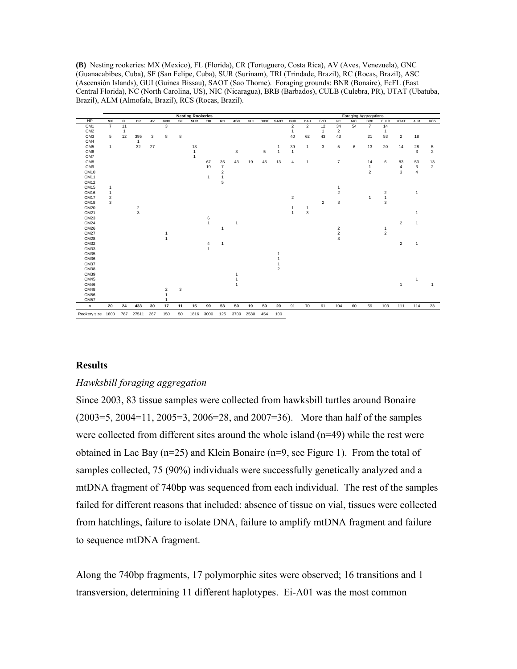**(B)** Nesting rookeries: MX (Mexico), FL (Florida), CR (Tortuguero, Costa Rica), AV (Aves, Venezuela), GNC (Guanacabibes, Cuba), SF (San Felipe, Cuba), SUR (Surinam), TRI (Trindade, Brazil), RC (Rocas, Brazil), ASC (Ascensión Islands), GUI (Guinea Bissau), SAOT (Sao Thome). Foraging grounds: BNR (Bonaire), EcFL (East Central Florida), NC (North Carolina, US), NIC (Nicaragua), BRB (Barbados), CULB (Culebra, PR), UTAT (Ubatuba, Brazil), ALM (Almofala, Brazil), RCS (Rocas, Brazil).

|                   |                |              |               |     |                |    | <b>Nesting Rookeries</b> |              |                         |                |      |             |                |                |                |                |                         |            | <b>Foraging Aggregations</b> |                |                |                |                |
|-------------------|----------------|--------------|---------------|-----|----------------|----|--------------------------|--------------|-------------------------|----------------|------|-------------|----------------|----------------|----------------|----------------|-------------------------|------------|------------------------------|----------------|----------------|----------------|----------------|
| HP                | MX             | FL.          | CR            | AV  | <b>GNC</b>     | SF | <b>SUR</b>               | TRI          | RC                      | ASC            | GUI  | <b>BIOK</b> | <b>SAOT</b>    | <b>BNR</b>     | BAH            | EcFL           | <b>NC</b>               | <b>NIC</b> | <b>BRB</b>                   | CULB           | UTAT           | <b>ALM</b>     | <b>RCS</b>     |
| CM <sub>1</sub>   | $\overline{7}$ | 11           |               |     | 3              |    |                          |              |                         |                |      |             |                | 2              | $\overline{2}$ | 12             | 34                      | 54         | $\overline{7}$               | 14             |                |                |                |
| CM <sub>2</sub>   |                | $\mathbf{1}$ |               |     |                |    |                          |              |                         |                |      |             |                | 1              |                | 1              | $\overline{2}$          |            |                              | 1              |                |                |                |
| CM <sub>3</sub>   | 5              | 12           | 395           | 3   | 8              | 8  |                          |              |                         |                |      |             |                | 40             | 62             | 43             | 43                      |            | 21                           | 53             | $\overline{2}$ | 18             |                |
| CM4               |                |              | $\mathbf{1}$  |     |                |    |                          |              |                         |                |      |             |                |                |                |                |                         |            |                              |                |                |                |                |
| CM <sub>5</sub>   | $\mathbf{1}$   |              | 32            | 27  |                |    | 13                       |              |                         |                |      |             | 1              | 39             | $\overline{1}$ | 3              | 5                       | 6          | 13                           | 20             | 14             | 28             | 5              |
| CM <sub>6</sub>   |                |              |               |     |                |    | $\mathbf{1}$             |              |                         | 3              |      | 5           | $\mathbf{1}$   | $\mathbf{1}$   |                |                |                         |            |                              |                |                | 3              | $\overline{c}$ |
| CM7               |                |              |               |     |                |    | $\overline{1}$           |              |                         |                |      |             |                |                |                |                |                         |            |                              |                |                |                |                |
| CM <sub>8</sub>   |                |              |               |     |                |    |                          | 67           | 36                      | 43             | 19   | 45          | 13             | $\overline{4}$ | $\mathbf{1}$   |                | $\overline{7}$          |            | 14                           | 6              | 83             | 53             | 13             |
| CM9               |                |              |               |     |                |    |                          | 19           | $\overline{7}$          |                |      |             |                |                |                |                |                         |            | $\mathbf{1}$                 |                | $\overline{4}$ | 3              | $\overline{2}$ |
| CM10              |                |              |               |     |                |    |                          |              | $\overline{\mathbf{c}}$ |                |      |             |                |                |                |                |                         |            | $\overline{2}$               |                | 3              | $\overline{4}$ |                |
| CM11              |                |              |               |     |                |    |                          | $\mathbf{1}$ | $\mathbf{1}$            |                |      |             |                |                |                |                |                         |            |                              |                |                |                |                |
| <b>CM12</b>       |                |              |               |     |                |    |                          |              | 5                       |                |      |             |                |                |                |                |                         |            |                              |                |                |                |                |
| CM15              | 1              |              |               |     |                |    |                          |              |                         |                |      |             |                |                |                |                | 1                       |            |                              |                |                |                |                |
| CM <sub>16</sub>  | $\mathbf{1}$   |              |               |     |                |    |                          |              |                         |                |      |             |                |                |                |                | $\overline{\mathbf{c}}$ |            |                              | $\sqrt{2}$     |                | $\mathbf{1}$   |                |
| <b>CM17</b>       | $\overline{c}$ |              |               |     |                |    |                          |              |                         |                |      |             |                | $\overline{2}$ |                |                |                         |            | $\overline{1}$               | $\mathbf{1}$   |                |                |                |
| CM18              | 3              |              |               |     |                |    |                          |              |                         |                |      |             |                |                |                | $\overline{2}$ | 3                       |            |                              | 3              |                |                |                |
| <b>CM20</b>       |                |              |               |     |                |    |                          |              |                         |                |      |             |                | $\mathbf{1}$   | $\mathbf{1}$   |                |                         |            |                              |                |                |                |                |
| CM21              |                |              | $\frac{2}{3}$ |     |                |    |                          |              |                         |                |      |             |                | $\overline{1}$ | 3              |                |                         |            |                              |                |                | $\mathbf{1}$   |                |
| CM23              |                |              |               |     |                |    |                          | 6            |                         |                |      |             |                |                |                |                |                         |            |                              |                |                |                |                |
| <b>CM24</b>       |                |              |               |     |                |    |                          | $\mathbf{1}$ |                         | -1             |      |             |                |                |                |                |                         |            |                              |                | 2              | $\mathbf{1}$   |                |
| <b>CM26</b>       |                |              |               |     |                |    |                          |              | 1                       |                |      |             |                |                |                |                | $\boldsymbol{2}$        |            |                              | 1              |                |                |                |
| <b>CM27</b>       |                |              |               |     | 1              |    |                          |              |                         |                |      |             |                |                |                |                | $\overline{\mathbf{c}}$ |            |                              | $\overline{2}$ |                |                |                |
| <b>CM28</b>       |                |              |               |     | $\overline{1}$ |    |                          |              |                         |                |      |             |                |                |                |                | 3                       |            |                              |                |                |                |                |
| <b>CM32</b>       |                |              |               |     |                |    |                          | 4            | $\mathbf{1}$            |                |      |             |                |                |                |                |                         |            |                              |                | $\overline{2}$ | $\mathbf{1}$   |                |
| CM33              |                |              |               |     |                |    |                          | $\mathbf{1}$ |                         |                |      |             |                |                |                |                |                         |            |                              |                |                |                |                |
| CM35              |                |              |               |     |                |    |                          |              |                         |                |      |             |                |                |                |                |                         |            |                              |                |                |                |                |
| CM36              |                |              |               |     |                |    |                          |              |                         |                |      |             |                |                |                |                |                         |            |                              |                |                |                |                |
| <b>CM37</b>       |                |              |               |     |                |    |                          |              |                         |                |      |             | 1              |                |                |                |                         |            |                              |                |                |                |                |
| <b>CM38</b>       |                |              |               |     |                |    |                          |              |                         |                |      |             | $\overline{2}$ |                |                |                |                         |            |                              |                |                |                |                |
| CM39              |                |              |               |     |                |    |                          |              |                         |                |      |             |                |                |                |                |                         |            |                              |                |                |                |                |
| <b>CM45</b>       |                |              |               |     |                |    |                          |              |                         |                |      |             |                |                |                |                |                         |            |                              |                |                | $\mathbf{1}$   |                |
| <b>CM46</b>       |                |              |               |     |                |    |                          |              |                         | $\overline{1}$ |      |             |                |                |                |                |                         |            |                              |                | $\mathbf{1}$   |                | 1              |
| <b>CM48</b>       |                |              |               |     | $\overline{2}$ | 3  |                          |              |                         |                |      |             |                |                |                |                |                         |            |                              |                |                |                |                |
| <b>CM56</b>       |                |              |               |     | $\mathbf{1}$   |    |                          |              |                         |                |      |             |                |                |                |                |                         |            |                              |                |                |                |                |
| <b>CM57</b>       |                |              |               |     | $\mathbf{1}$   |    |                          |              |                         |                |      |             |                |                |                |                |                         |            |                              |                |                |                |                |
| n                 | 20             | 24           | 433           | 30  | 17             | 11 | 15                       | 99           | 53                      | 50             | 19   | 50          | 20             | 91             | 70             | 61             | 104                     | 60         | 59                           | 103            | 111            | 114            | 23             |
| Rookery size 1600 |                | 787          | 27511         | 267 | 150            | 50 | 1816                     | 3000         | 125                     | 3709           | 2530 | 454         | 100            |                |                |                |                         |            |                              |                |                |                |                |

#### **Results**

#### *Hawksbill foraging aggregation*

Since 2003, 83 tissue samples were collected from hawksbill turtles around Bonaire (2003=5, 2004=11, 2005=3, 2006=28, and 2007=36). More than half of the samples were collected from different sites around the whole island  $(n=49)$  while the rest were obtained in Lac Bay  $(n=25)$  and Klein Bonaire  $(n=9)$ , see Figure 1). From the total of samples collected, 75 (90%) individuals were successfully genetically analyzed and a mtDNA fragment of 740bp was sequenced from each individual. The rest of the samples failed for different reasons that included: absence of tissue on vial, tissues were collected from hatchlings, failure to isolate DNA, failure to amplify mtDNA fragment and failure to sequence mtDNA fragment.

Along the 740bp fragments, 17 polymorphic sites were observed; 16 transitions and 1 transversion, determining 11 different haplotypes. Ei-A01 was the most common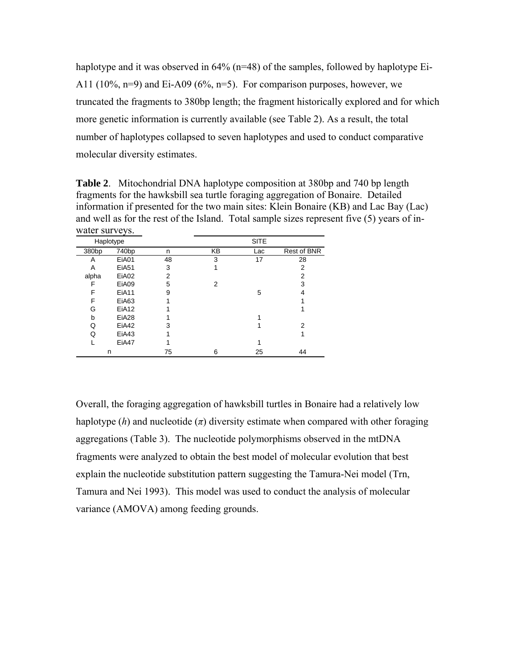haplotype and it was observed in 64% (n=48) of the samples, followed by haplotype Ei-A11 (10%, n=9) and Ei-A09 (6%, n=5). For comparison purposes, however, we truncated the fragments to 380bp length; the fragment historically explored and for which more genetic information is currently available (see Table 2). As a result, the total number of haplotypes collapsed to seven haplotypes and used to conduct comparative molecular diversity estimates.

**Table 2**. Mitochondrial DNA haplotype composition at 380bp and 740 bp length fragments for the hawksbill sea turtle foraging aggregation of Bonaire. Detailed information if presented for the two main sites: Klein Bonaire (KB) and Lac Bay (Lac) and well as for the rest of the Island. Total sample sizes represent five (5) years of inwater surveys.

|                   | Haplotype         |    | <b>SITE</b> |     |                |  |  |  |  |
|-------------------|-------------------|----|-------------|-----|----------------|--|--|--|--|
| 380 <sub>bp</sub> | 740 <sub>bp</sub> | n  | KΒ          | Lac | Rest of BNR    |  |  |  |  |
| Α                 | EiA01             | 48 | 3           | 17  | 28             |  |  |  |  |
| A                 | <b>EiA51</b>      | 3  |             |     | $\overline{2}$ |  |  |  |  |
| alpha             | EiA02             | 2  |             |     | $\overline{2}$ |  |  |  |  |
| F                 | EiA09             | 5  | 2           |     | 3              |  |  |  |  |
| F                 | EiA11             | 9  |             | 5   |                |  |  |  |  |
| F                 | EiA63             |    |             |     |                |  |  |  |  |
| G                 | EiA12             |    |             |     |                |  |  |  |  |
| b                 | EiA <sub>28</sub> |    |             |     |                |  |  |  |  |
| Q                 | EiA42             | 3  |             |     | 2              |  |  |  |  |
| Q                 | EiA43             |    |             |     |                |  |  |  |  |
|                   | EiA47             |    |             |     |                |  |  |  |  |
|                   | n                 | 75 | 6           | 25  | 44             |  |  |  |  |

Overall, the foraging aggregation of hawksbill turtles in Bonaire had a relatively low haplotype  $(h)$  and nucleotide  $(\pi)$  diversity estimate when compared with other foraging aggregations (Table 3). The nucleotide polymorphisms observed in the mtDNA fragments were analyzed to obtain the best model of molecular evolution that best explain the nucleotide substitution pattern suggesting the Tamura-Nei model (Trn, Tamura and Nei 1993). This model was used to conduct the analysis of molecular variance (AMOVA) among feeding grounds.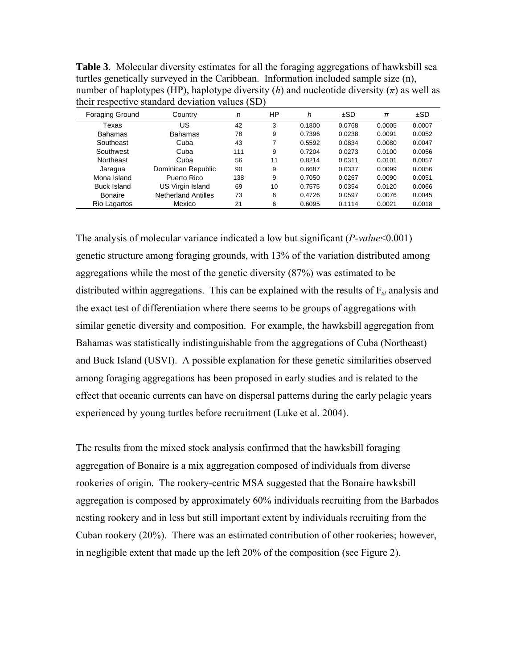| ultii Tespecuve sialidalu deviation values (SDT |                            |     |    |        |        |        |        |  |  |  |
|-------------------------------------------------|----------------------------|-----|----|--------|--------|--------|--------|--|--|--|
| <b>Foraging Ground</b>                          | Country                    | n   | ΗP | h      | ±SD    | $\pi$  | ±SD    |  |  |  |
| Texas                                           | US                         | 42  | 3  | 0.1800 | 0.0768 | 0.0005 | 0.0007 |  |  |  |
| <b>Bahamas</b>                                  | <b>Bahamas</b>             | 78  | 9  | 0.7396 | 0.0238 | 0.0091 | 0.0052 |  |  |  |
| Southeast                                       | Cuba                       | 43  | 7  | 0.5592 | 0.0834 | 0.0080 | 0.0047 |  |  |  |
| Southwest                                       | Cuba                       | 111 | 9  | 0.7204 | 0.0273 | 0.0100 | 0.0056 |  |  |  |
| Northeast                                       | Cuba                       | 56  | 11 | 0.8214 | 0.0311 | 0.0101 | 0.0057 |  |  |  |
| Jaragua                                         | Dominican Republic         | 90  | 9  | 0.6687 | 0.0337 | 0.0099 | 0.0056 |  |  |  |
| Mona Island                                     | Puerto Rico                | 138 | 9  | 0.7050 | 0.0267 | 0.0090 | 0.0051 |  |  |  |
| Buck Island                                     | US Virgin Island           | 69  | 10 | 0.7575 | 0.0354 | 0.0120 | 0.0066 |  |  |  |
| Bonaire                                         | <b>Netherland Antilles</b> | 73  | 6  | 0.4726 | 0.0597 | 0.0076 | 0.0045 |  |  |  |
| Rio Lagartos                                    | Mexico                     | 21  | 6  | 0.6095 | 0.1114 | 0.0021 | 0.0018 |  |  |  |

**Table 3**. Molecular diversity estimates for all the foraging aggregations of hawksbill sea turtles genetically surveyed in the Caribbean. Information included sample size (n), number of haplotypes (HP), haplotype diversity  $(h)$  and nucleotide diversity  $(\pi)$  as well as their respective standard deviation values  $(\overrightarrow{SD})$ 

The analysis of molecular variance indicated a low but significant (*P-value*<0.001) genetic structure among foraging grounds, with 13% of the variation distributed among aggregations while the most of the genetic diversity (87%) was estimated to be distributed within aggregations. This can be explained with the results of F*st* analysis and the exact test of differentiation where there seems to be groups of aggregations with similar genetic diversity and composition. For example, the hawksbill aggregation from Bahamas was statistically indistinguishable from the aggregations of Cuba (Northeast) and Buck Island (USVI). A possible explanation for these genetic similarities observed among foraging aggregations has been proposed in early studies and is related to the effect that oceanic currents can have on dispersal patterns during the early pelagic years experienced by young turtles before recruitment (Luke et al. 2004).

The results from the mixed stock analysis confirmed that the hawksbill foraging aggregation of Bonaire is a mix aggregation composed of individuals from diverse rookeries of origin. The rookery-centric MSA suggested that the Bonaire hawksbill aggregation is composed by approximately 60% individuals recruiting from the Barbados nesting rookery and in less but still important extent by individuals recruiting from the Cuban rookery (20%). There was an estimated contribution of other rookeries; however, in negligible extent that made up the left 20% of the composition (see Figure 2).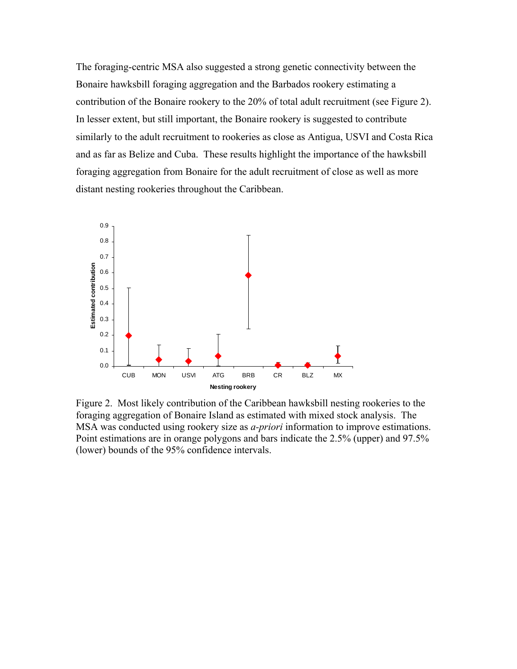The foraging-centric MSA also suggested a strong genetic connectivity between the Bonaire hawksbill foraging aggregation and the Barbados rookery estimating a contribution of the Bonaire rookery to the 20% of total adult recruitment (see Figure 2). In lesser extent, but still important, the Bonaire rookery is suggested to contribute similarly to the adult recruitment to rookeries as close as Antigua, USVI and Costa Rica and as far as Belize and Cuba. These results highlight the importance of the hawksbill foraging aggregation from Bonaire for the adult recruitment of close as well as more distant nesting rookeries throughout the Caribbean.



Figure 2. Most likely contribution of the Caribbean hawksbill nesting rookeries to the foraging aggregation of Bonaire Island as estimated with mixed stock analysis. The MSA was conducted using rookery size as *a-priori* information to improve estimations. Point estimations are in orange polygons and bars indicate the 2.5% (upper) and 97.5% (lower) bounds of the 95% confidence intervals.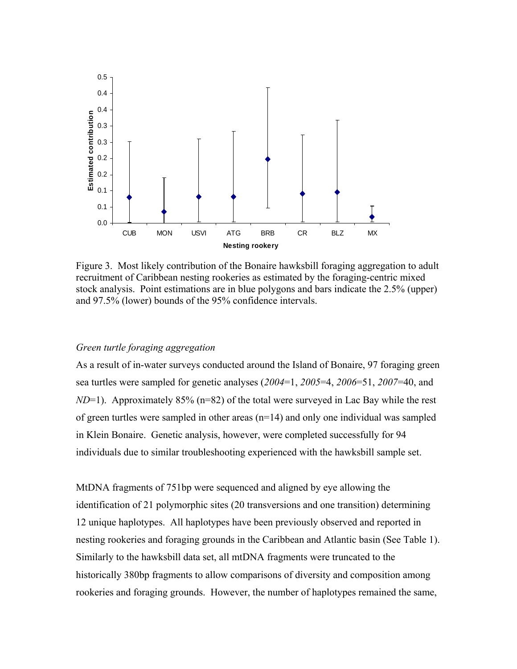

Figure 3. Most likely contribution of the Bonaire hawksbill foraging aggregation to adult recruitment of Caribbean nesting rookeries as estimated by the foraging-centric mixed stock analysis. Point estimations are in blue polygons and bars indicate the 2.5% (upper) and 97.5% (lower) bounds of the 95% confidence intervals.

## *Green turtle foraging aggregation*

As a result of in-water surveys conducted around the Island of Bonaire, 97 foraging green sea turtles were sampled for genetic analyses (*2004*=1, *2005*=4, *2006*=51, *2007*=40, and *ND*=1). Approximately 85% (n=82) of the total were surveyed in Lac Bay while the rest of green turtles were sampled in other areas (n=14) and only one individual was sampled in Klein Bonaire. Genetic analysis, however, were completed successfully for 94 individuals due to similar troubleshooting experienced with the hawksbill sample set.

MtDNA fragments of 751bp were sequenced and aligned by eye allowing the identification of 21 polymorphic sites (20 transversions and one transition) determining 12 unique haplotypes. All haplotypes have been previously observed and reported in nesting rookeries and foraging grounds in the Caribbean and Atlantic basin (See Table 1). Similarly to the hawksbill data set, all mtDNA fragments were truncated to the historically 380bp fragments to allow comparisons of diversity and composition among rookeries and foraging grounds. However, the number of haplotypes remained the same,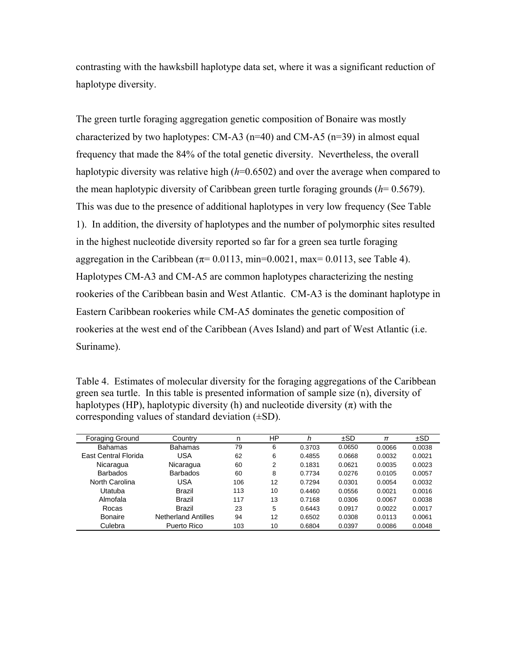contrasting with the hawksbill haplotype data set, where it was a significant reduction of haplotype diversity.

The green turtle foraging aggregation genetic composition of Bonaire was mostly characterized by two haplotypes: CM-A3 (n=40) and CM-A5 (n=39) in almost equal frequency that made the 84% of the total genetic diversity. Nevertheless, the overall haplotypic diversity was relative high ( $h=0.6502$ ) and over the average when compared to the mean haplotypic diversity of Caribbean green turtle foraging grounds (*h*= 0.5679). This was due to the presence of additional haplotypes in very low frequency (See Table 1). In addition, the diversity of haplotypes and the number of polymorphic sites resulted in the highest nucleotide diversity reported so far for a green sea turtle foraging aggregation in the Caribbean ( $\pi$ = 0.0113, min=0.0021, max= 0.0113, see Table 4). Haplotypes CM-A3 and CM-A5 are common haplotypes characterizing the nesting rookeries of the Caribbean basin and West Atlantic. CM-A3 is the dominant haplotype in Eastern Caribbean rookeries while CM-A5 dominates the genetic composition of rookeries at the west end of the Caribbean (Aves Island) and part of West Atlantic (i.e. Suriname).

Table 4. Estimates of molecular diversity for the foraging aggregations of the Caribbean green sea turtle. In this table is presented information of sample size (n), diversity of haplotypes (HP), haplotypic diversity (h) and nucleotide diversity  $(\pi)$  with the corresponding values of standard deviation  $(\pm SD)$ .

| <b>Foraging Ground</b>      | Countrv                    | n   | ΗP | h      | ±SD    | π      | ±SD    |
|-----------------------------|----------------------------|-----|----|--------|--------|--------|--------|
| <b>Bahamas</b>              | Bahamas                    | 79  | 6  | 0.3703 | 0.0650 | 0.0066 | 0.0038 |
| <b>Fast Central Florida</b> | <b>USA</b>                 | 62  | 6  | 0.4855 | 0.0668 | 0.0032 | 0.0021 |
| Nicaragua                   | Nicaragua                  | 60  | 2  | 0.1831 | 0.0621 | 0.0035 | 0.0023 |
| <b>Barbados</b>             | <b>Barbados</b>            | 60  | 8  | 0.7734 | 0.0276 | 0.0105 | 0.0057 |
| North Carolina              | <b>USA</b>                 | 106 | 12 | 0.7294 | 0.0301 | 0.0054 | 0.0032 |
| Utatuba                     | Brazil                     | 113 | 10 | 0.4460 | 0.0556 | 0.0021 | 0.0016 |
| Almofala                    | Brazil                     | 117 | 13 | 0.7168 | 0.0306 | 0.0067 | 0.0038 |
| Rocas                       | Brazil                     | 23  | 5  | 0.6443 | 0.0917 | 0.0022 | 0.0017 |
| Bonaire                     | <b>Netherland Antilles</b> | 94  | 12 | 0.6502 | 0.0308 | 0.0113 | 0.0061 |
| Culebra                     | Puerto Rico                | 103 | 10 | 0.6804 | 0.0397 | 0.0086 | 0.0048 |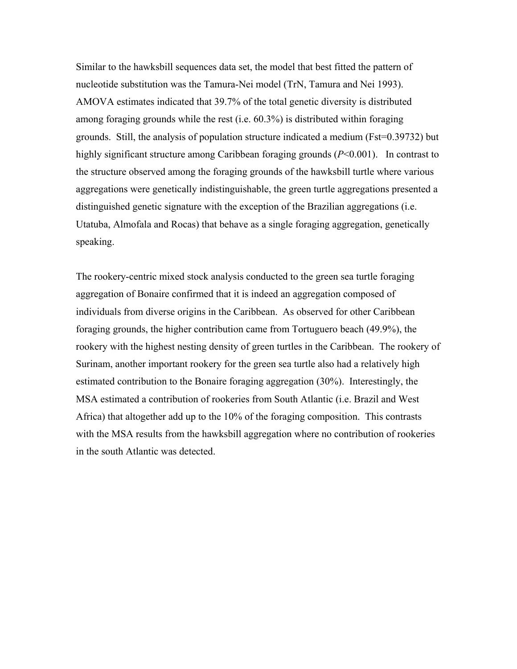Similar to the hawksbill sequences data set, the model that best fitted the pattern of nucleotide substitution was the Tamura-Nei model (TrN, Tamura and Nei 1993). AMOVA estimates indicated that 39.7% of the total genetic diversity is distributed among foraging grounds while the rest (i.e. 60.3%) is distributed within foraging grounds. Still, the analysis of population structure indicated a medium (Fst=0.39732) but highly significant structure among Caribbean foraging grounds (*P*<0.001). In contrast to the structure observed among the foraging grounds of the hawksbill turtle where various aggregations were genetically indistinguishable, the green turtle aggregations presented a distinguished genetic signature with the exception of the Brazilian aggregations (i.e. Utatuba, Almofala and Rocas) that behave as a single foraging aggregation, genetically speaking.

The rookery-centric mixed stock analysis conducted to the green sea turtle foraging aggregation of Bonaire confirmed that it is indeed an aggregation composed of individuals from diverse origins in the Caribbean. As observed for other Caribbean foraging grounds, the higher contribution came from Tortuguero beach (49.9%), the rookery with the highest nesting density of green turtles in the Caribbean. The rookery of Surinam, another important rookery for the green sea turtle also had a relatively high estimated contribution to the Bonaire foraging aggregation (30%). Interestingly, the MSA estimated a contribution of rookeries from South Atlantic (i.e. Brazil and West Africa) that altogether add up to the 10% of the foraging composition. This contrasts with the MSA results from the hawksbill aggregation where no contribution of rookeries in the south Atlantic was detected.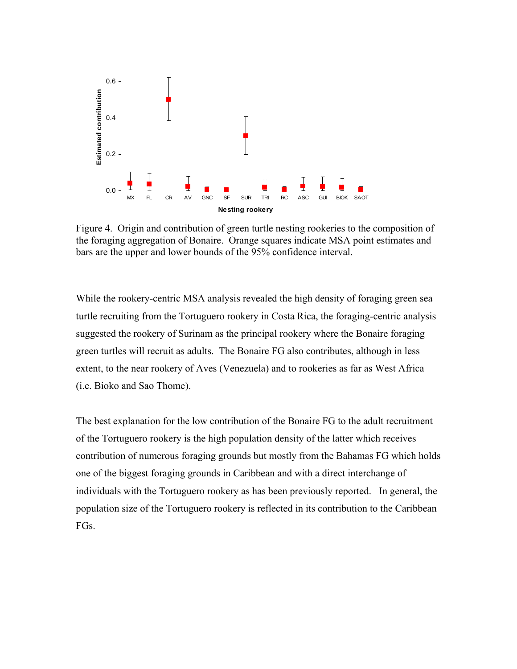

Figure 4. Origin and contribution of green turtle nesting rookeries to the composition of the foraging aggregation of Bonaire. Orange squares indicate MSA point estimates and bars are the upper and lower bounds of the 95% confidence interval.

While the rookery-centric MSA analysis revealed the high density of foraging green sea turtle recruiting from the Tortuguero rookery in Costa Rica, the foraging-centric analysis suggested the rookery of Surinam as the principal rookery where the Bonaire foraging green turtles will recruit as adults. The Bonaire FG also contributes, although in less extent, to the near rookery of Aves (Venezuela) and to rookeries as far as West Africa (i.e. Bioko and Sao Thome).

The best explanation for the low contribution of the Bonaire FG to the adult recruitment of the Tortuguero rookery is the high population density of the latter which receives contribution of numerous foraging grounds but mostly from the Bahamas FG which holds one of the biggest foraging grounds in Caribbean and with a direct interchange of individuals with the Tortuguero rookery as has been previously reported. In general, the population size of the Tortuguero rookery is reflected in its contribution to the Caribbean FGs.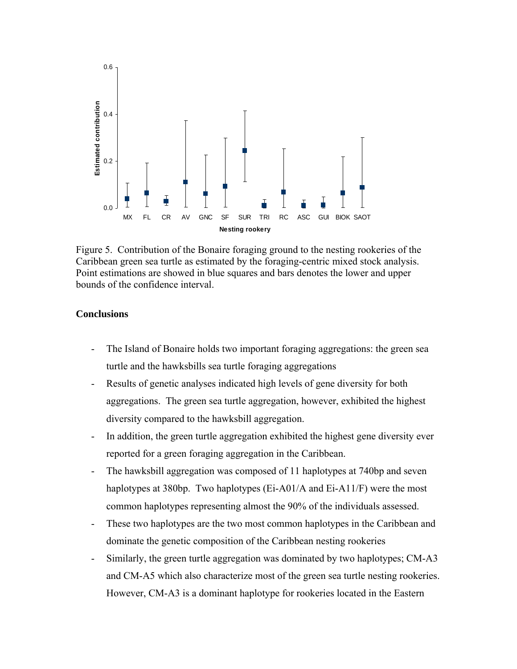

Figure 5. Contribution of the Bonaire foraging ground to the nesting rookeries of the Caribbean green sea turtle as estimated by the foraging-centric mixed stock analysis. Point estimations are showed in blue squares and bars denotes the lower and upper bounds of the confidence interval.

## **Conclusions**

- The Island of Bonaire holds two important foraging aggregations: the green sea turtle and the hawksbills sea turtle foraging aggregations
- Results of genetic analyses indicated high levels of gene diversity for both aggregations. The green sea turtle aggregation, however, exhibited the highest diversity compared to the hawksbill aggregation.
- In addition, the green turtle aggregation exhibited the highest gene diversity ever reported for a green foraging aggregation in the Caribbean.
- The hawksbill aggregation was composed of 11 haplotypes at 740bp and seven haplotypes at 380bp. Two haplotypes (Ei-A01/A and Ei-A11/F) were the most common haplotypes representing almost the 90% of the individuals assessed.
- These two haplotypes are the two most common haplotypes in the Caribbean and dominate the genetic composition of the Caribbean nesting rookeries
- Similarly, the green turtle aggregation was dominated by two haplotypes; CM-A3 and CM-A5 which also characterize most of the green sea turtle nesting rookeries. However, CM-A3 is a dominant haplotype for rookeries located in the Eastern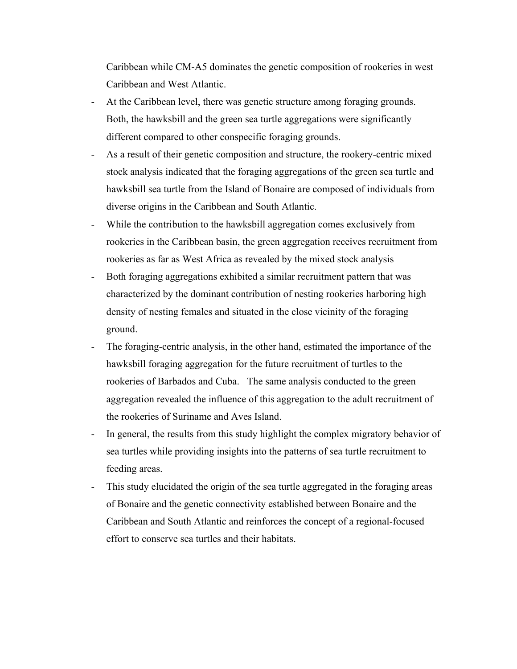Caribbean while CM-A5 dominates the genetic composition of rookeries in west Caribbean and West Atlantic.

- At the Caribbean level, there was genetic structure among foraging grounds. Both, the hawksbill and the green sea turtle aggregations were significantly different compared to other conspecific foraging grounds.
- As a result of their genetic composition and structure, the rookery-centric mixed stock analysis indicated that the foraging aggregations of the green sea turtle and hawksbill sea turtle from the Island of Bonaire are composed of individuals from diverse origins in the Caribbean and South Atlantic.
- While the contribution to the hawksbill aggregation comes exclusively from rookeries in the Caribbean basin, the green aggregation receives recruitment from rookeries as far as West Africa as revealed by the mixed stock analysis
- Both foraging aggregations exhibited a similar recruitment pattern that was characterized by the dominant contribution of nesting rookeries harboring high density of nesting females and situated in the close vicinity of the foraging ground.
- The foraging-centric analysis, in the other hand, estimated the importance of the hawksbill foraging aggregation for the future recruitment of turtles to the rookeries of Barbados and Cuba. The same analysis conducted to the green aggregation revealed the influence of this aggregation to the adult recruitment of the rookeries of Suriname and Aves Island.
- In general, the results from this study highlight the complex migratory behavior of sea turtles while providing insights into the patterns of sea turtle recruitment to feeding areas.
- This study elucidated the origin of the sea turtle aggregated in the foraging areas of Bonaire and the genetic connectivity established between Bonaire and the Caribbean and South Atlantic and reinforces the concept of a regional-focused effort to conserve sea turtles and their habitats.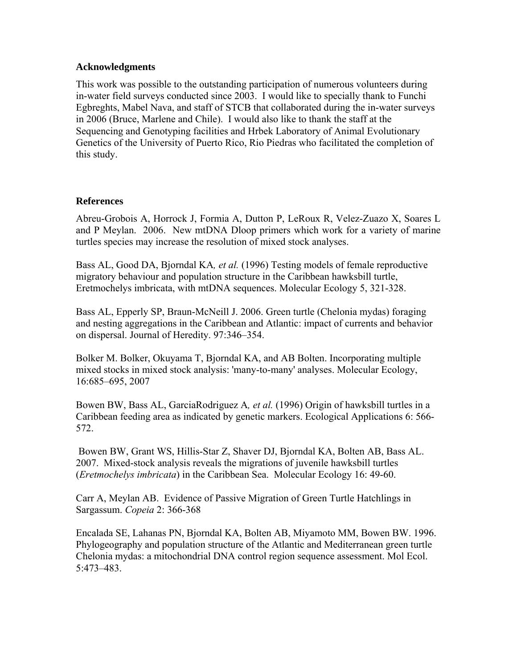# **Acknowledgments**

This work was possible to the outstanding participation of numerous volunteers during in-water field surveys conducted since 2003. I would like to specially thank to Funchi Egbreghts, Mabel Nava, and staff of STCB that collaborated during the in-water surveys in 2006 (Bruce, Marlene and Chile). I would also like to thank the staff at the Sequencing and Genotyping facilities and Hrbek Laboratory of Animal Evolutionary Genetics of the University of Puerto Rico, Rio Piedras who facilitated the completion of this study.

# **References**

Abreu-Grobois A, Horrock J, Formia A, Dutton P, LeRoux R, Velez-Zuazo X, Soares L and P Meylan. 2006. New mtDNA Dloop primers which work for a variety of marine turtles species may increase the resolution of mixed stock analyses.

Bass AL, Good DA, Bjorndal KA*, et al.* (1996) Testing models of female reproductive migratory behaviour and population structure in the Caribbean hawksbill turtle, Eretmochelys imbricata, with mtDNA sequences. Molecular Ecology 5, 321-328.

Bass AL, Epperly SP, Braun-McNeill J. 2006. Green turtle (Chelonia mydas) foraging and nesting aggregations in the Caribbean and Atlantic: impact of currents and behavior on dispersal. Journal of Heredity. 97:346–354.

Bolker M. Bolker, Okuyama T, Bjorndal KA, and AB Bolten. Incorporating multiple mixed stocks in mixed stock analysis: 'many-to-many' analyses. Molecular Ecology, 16:685–695, 2007

Bowen BW, Bass AL, GarciaRodriguez A*, et al.* (1996) Origin of hawksbill turtles in a Caribbean feeding area as indicated by genetic markers. Ecological Applications 6: 566- 572.

 Bowen BW, Grant WS, Hillis-Star Z, Shaver DJ, Bjorndal KA, Bolten AB, Bass AL. 2007. Mixed-stock analysis reveals the migrations of juvenile hawksbill turtles (*Eretmochelys imbricata*) in the Caribbean Sea. Molecular Ecology 16: 49-60.

Carr A, Meylan AB. Evidence of Passive Migration of Green Turtle Hatchlings in Sargassum. *Copeia* 2: 366-368

Encalada SE, Lahanas PN, Bjorndal KA, Bolten AB, Miyamoto MM, Bowen BW. 1996. Phylogeography and population structure of the Atlantic and Mediterranean green turtle Chelonia mydas: a mitochondrial DNA control region sequence assessment. Mol Ecol. 5:473–483.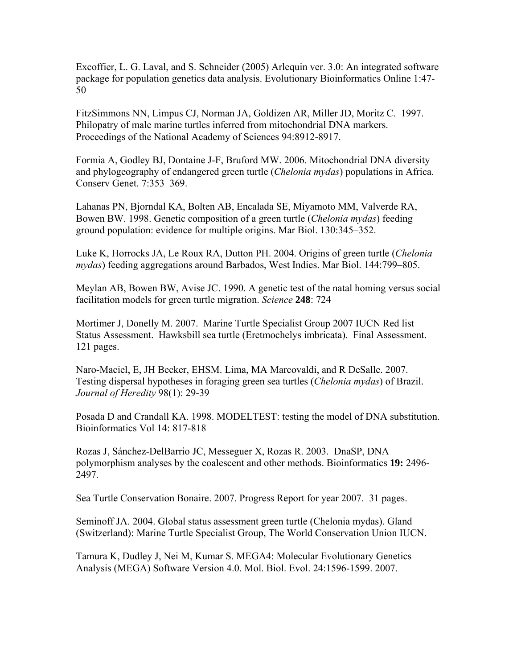Excoffier, L. G. Laval, and S. Schneider (2005) Arlequin ver. 3.0: An integrated software package for population genetics data analysis. Evolutionary Bioinformatics Online 1:47- 50

FitzSimmons NN, Limpus CJ, Norman JA, Goldizen AR, Miller JD, Moritz C. 1997. Philopatry of male marine turtles inferred from mitochondrial DNA markers. Proceedings of the National Academy of Sciences 94:8912-8917.

Formia A, Godley BJ, Dontaine J-F, Bruford MW. 2006. Mitochondrial DNA diversity and phylogeography of endangered green turtle (*Chelonia mydas*) populations in Africa. Conserv Genet. 7:353–369.

Lahanas PN, Bjorndal KA, Bolten AB, Encalada SE, Miyamoto MM, Valverde RA, Bowen BW. 1998. Genetic composition of a green turtle (*Chelonia mydas*) feeding ground population: evidence for multiple origins. Mar Biol. 130:345–352.

Luke K, Horrocks JA, Le Roux RA, Dutton PH. 2004. Origins of green turtle (*Chelonia mydas*) feeding aggregations around Barbados, West Indies. Mar Biol. 144:799–805.

Meylan AB, Bowen BW, Avise JC. 1990. A genetic test of the natal homing versus social facilitation models for green turtle migration. *Science* **248**: 724

Mortimer J, Donelly M. 2007. Marine Turtle Specialist Group 2007 IUCN Red list Status Assessment. Hawksbill sea turtle (Eretmochelys imbricata). Final Assessment. 121 pages.

Naro-Maciel, E, JH Becker, EHSM. Lima, MA Marcovaldi, and R DeSalle. 2007. Testing dispersal hypotheses in foraging green sea turtles (*Chelonia mydas*) of Brazil. *Journal of Heredity* 98(1): 29-39

Posada D and Crandall KA. 1998. MODELTEST: testing the model of DNA substitution. Bioinformatics Vol 14: 817-818

Rozas J, Sánchez-DelBarrio JC, Messeguer X, Rozas R. 2003. DnaSP, DNA polymorphism analyses by the coalescent and other methods. Bioinformatics **19:** 2496- 2497.

Sea Turtle Conservation Bonaire. 2007. Progress Report for year 2007. 31 pages.

Seminoff JA. 2004. Global status assessment green turtle (Chelonia mydas). Gland (Switzerland): Marine Turtle Specialist Group, The World Conservation Union IUCN.

Tamura K, Dudley J, Nei M, Kumar S. MEGA4: Molecular Evolutionary Genetics Analysis (MEGA) Software Version 4.0. Mol. Biol. Evol. 24:1596-1599. 2007.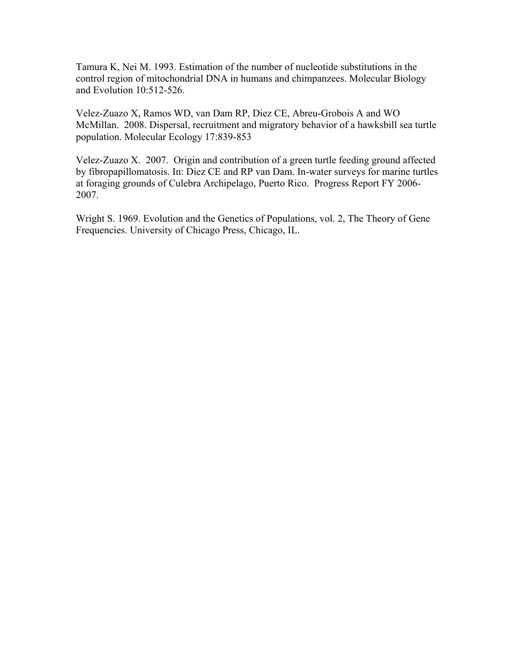Tamura K, Nei M. 1993. Estimation of the number of nucleotide substitutions in the control region of mitochondrial DNA in humans and chimpanzees. Molecular Biology and Evolution 10:512-526.

Velez-Zuazo X, Ramos WD, van Dam RP, Diez CE, Abreu-Grobois A and WO McMillan. 2008. Dispersal, recruitment and migratory behavior of a hawksbill sea turtle population. Molecular Ecology 17:839-853

Velez-Zuazo X. 2007. Origin and contribution of a green turtle feeding ground affected by fibropapillomatosis. In: Diez CE and RP van Dam. In-water surveys for marine turtles at foraging grounds of Culebra Archipelago, Puerto Rico. Progress Report FY 2006- 2007.

Wright S. 1969. Evolution and the Genetics of Populations, vol. 2, The Theory of Gene Frequencies. University of Chicago Press, Chicago, IL.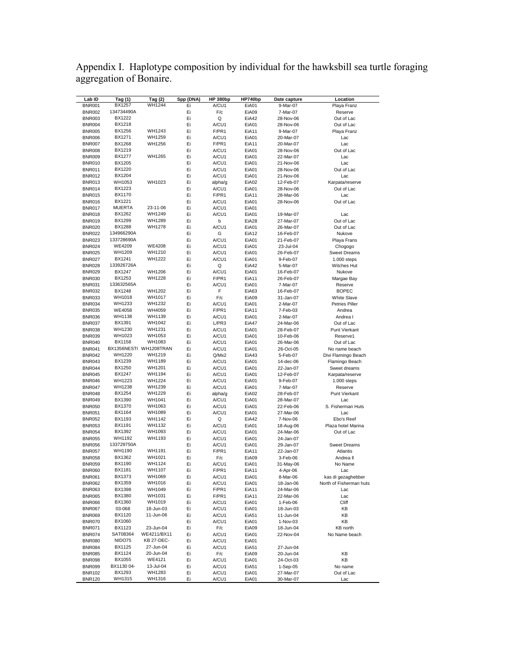Appendix I. Haplotype composition by individual for the hawksbill sea turtle foraging aggregation of Bonaire.

| Lab ID        | <u>Tag (1)</u> | Tag (2)                | Spp (DNA) | <b>HP 380bp</b> | HP740bp | Date capture | Location                |
|---------------|----------------|------------------------|-----------|-----------------|---------|--------------|-------------------------|
| <b>BNR001</b> | BX1257         | WH1244                 | Ei        | A/CU1           | EiA01   | 9-Mar-07     | Playa Franz             |
| <b>BNR002</b> | 134734490A     |                        | Ei        | F/c             | EiA09   | 7-Mar-07     | Reserve                 |
| <b>BNR003</b> | BX1222         |                        | Ei        | Q               | EiA42   | 28-Nov-06    | Out of Lac              |
| <b>BNR004</b> | BX1218         |                        | Ei        | A/CU1           | EiA01   | 28-Nov-06    | Out of Lac              |
| <b>BNR005</b> | BX1256         | WH1243                 | Ei        | F/PR1           | EiA11   | 9-Mar-07     | Playa Franz             |
| <b>BNR006</b> | BX1271         | WH1259                 | Ei        | A/CU1           | EiA01   | 20-Mar-07    | Lac                     |
| <b>BNR007</b> | BX1268         | WH1256                 | Ei        | F/PR1           | EiA11   | 20-Mar-07    | Lac                     |
|               | BX1219         |                        |           |                 |         |              |                         |
| <b>BNR008</b> |                |                        | Ei        | A/CU1           | EiA01   | 28-Nov-06    | Out of Lac              |
| <b>BNR009</b> | <b>BX1277</b>  | WH1265                 | Ei        | A/CU1           | EiA01   | 22-Mar-07    | Lac                     |
| <b>BNR010</b> | BX1205         |                        | Ei        | A/CU1           | EiA01   | 21-Nov-06    | Lac                     |
| <b>BNR011</b> | BX1220         |                        | Ei        | A/CU1           | EiA01   | 28-Nov-06    | Out of Lac              |
| <b>BNR012</b> | BX1204         |                        | Ei        | A/CU1           | EiA01   | 21-Nov-06    | Lac                     |
| <b>BNR013</b> | WH1053         | WH1023                 | Ei        | alpha/g         | EiA02   | 12-Feb-07    | Karpata/reserve         |
| BNR014        | BX1223         |                        | Ei        | A/CU1           | EiA01   | 28-Nov-06    | Out of Lac              |
| <b>BNR015</b> | BX1170         |                        | Ei        | F/PR1           | EiA11   | 28-Mar-06    | Lac                     |
| <b>BNR016</b> | BX1221         |                        | Ei        | A/CU1           | EiA01   | 28-Nov-06    | Out of Lac              |
| <b>BNR017</b> | <b>MUERTA</b>  | 23-11-06               | Ei        | A/CU1           | EiA01   |              |                         |
| <b>BNR018</b> | BX1262         | WH1249                 | Ei        | A/CU1           | EiA01   | 19-Mar-07    | Lac                     |
|               | BX1299         | WH1289                 |           |                 |         |              |                         |
| <b>BNR019</b> |                |                        | Ei        | b               | EiA28   | 27-Mar-07    | Out of Lac              |
| <b>BNR020</b> | BX1288         | WH1278                 | Ei        | A/CU1           | EiA01   | 26-Mar-07    | Out of Lac              |
| <b>BNR022</b> | 134966290A     |                        | Ei        | G               | EiA12   | 16-Feb-07    | Nukove                  |
| <b>BNR023</b> | 133728690A     |                        | Ei        | A/CU1           | EiA01   | 21-Feb-07    | Playa Frans             |
| <b>BNR024</b> | WE4209         | WE4208                 | Ei        | A/CU1           | EiA01   | 23-Jul-04    | Chogogo                 |
| <b>BNR025</b> | WH1209         | WH1210                 | Ei        | A/CU1           | EiA01   | 26-Feb-07    | <b>Sweet Dreams</b>     |
| <b>BNR027</b> | BX1241         | WH1222                 | Ei        | A/CU1           | EiA01   | 9-Feb-07     | $1.000$ steps           |
| <b>BNR028</b> | 133926726A     |                        | Ei        | Q               | EiA42   | 5-Mar-07     | Witches Hut             |
| <b>BNR029</b> | BX1247         | WH1206                 | Ei        | A/CU1           | EiA01   | 16-Feb-07    | Nukove                  |
| <b>BNR030</b> | BX1253         | WH1228                 | Ei        | F/PR1           | EiA11   | 26-Feb-07    | Margae Bay              |
|               | 133632565A     |                        | Ei        |                 |         |              |                         |
| <b>BNR031</b> |                |                        |           | A/CU1           | EiA01   | 7-Mar-07     | Reserve                 |
| <b>BNR032</b> | BX1248         | WH1202                 | Ei        | F               | EiA63   | 16-Feb-07    | <b>BOPEC</b>            |
| <b>BNR033</b> | WH1018         | WH1017                 | Ei        | F/c             | EiA09   | 31-Jan-07    | White Slave             |
| <b>BNR034</b> | WH1233         | WH1232                 | Ei        | A/CU1           | EiA01   | 2-Mar-07     | <b>Petries Piller</b>   |
| <b>BNR035</b> | WE4058         | WH4059                 | Ei        | F/PR1           | EiA11   | 7-Feb-03     | Andrea                  |
| <b>BNR036</b> | WH1138         | WH1139                 | Ei        | A/CU1           | EiA01   | 2-Mar-07     | Andrea I                |
| BNR037        | BX1391         | WH1042                 | Ei        | L/PR3           | EiA47   | 24-Mar-06    | Out of Lac              |
| BNR038        | WH1230         | WH1231                 | Ei        | A/CU1           | EiA01   | 28-Feb-07    | Punt Vierkant           |
| <b>BNR039</b> | WH1023         | WH1053                 | Ei        | A/CU1           | EiA01   | 10-Feb-06    | Reserve1                |
| <b>BNR040</b> | BX1158         | WH1083                 | Ei        | A/CU1           | EiA01   | 26-Mar-06    | Out of Lac              |
|               |                |                        |           |                 |         |              |                         |
| <b>BNR041</b> |                | BX1356NESTI WH1208TRAN | Ei        | A/CU1           | EiA01   | 26-Oct-05    | No name beach           |
| <b>BNR042</b> | WH1220         | WH1219                 | Ei        | Q/Mx2           | EiA43   | 5-Feb-07     | Divi Flamingo Beach     |
| <b>BNR043</b> | BX1239         | WH1189                 | Ei        | A/CU1           | EiA01   | 14-dec-06    | Flamingo Beach          |
| <b>BNR044</b> | BX1250         | WH1201                 | Ei        | A/CU1           | EiA01   | 22-Jan-07    | Sweet dreams            |
| <b>BNR045</b> | BX1247         | WH1194                 | Ei        | A/CU1           | EiA01   | 12-Feb-07    | Karpata/reserve         |
| <b>BNR046</b> | WH1223         | WH1224                 | Ei        | A/CU1           | EiA01   | 9-Feb-07     | 1.000 steps             |
| <b>BNR047</b> | WH1238         | WH1239                 | Ei        | A/CU1           | EiA01   | 7-Mar-07     | Reserve                 |
| <b>BNR048</b> | BX1254         | WH1229                 | Ei        | alpha/g         | EiA02   | 28-Feb-07    | Punt Vierkant           |
| <b>BNR049</b> | BX1390         | WH1041                 | Ei        | A/CU1           | EiA01   | 28-Mar-07    | Lac                     |
| <b>BNR050</b> | BX1370         | WH1063                 | Ei        | A/CU1           | EiA01   | 22-Feb-06    | S. Fisherman Huts       |
| <b>BNR051</b> | BX1164         | WH1089                 | Ei        | A/CU1           | EiA01   | 27-Mar-06    | Lac                     |
|               |                |                        |           |                 |         |              |                         |
| <b>BNR052</b> | BX1193         | WH1142                 | Ei        | Q               | EiA42   | 7-Nov-06     | Ebo's Reef              |
| <b>BNR053</b> | BX1191         | WH1132                 | Ei        | A/CU1           | EiA01   | 18-Aug-06    | Plaza hotel Marina      |
| <b>BNR054</b> | BX1392         | WH1093                 | Ei        | A/CU1           | EiA01   | 24-Mar-06    | Out of Lac              |
| <b>BNR055</b> | WH1192         | WH1193                 | Ei        | A/CU1           | EiA01   | 24-Jan-07    |                         |
| <b>BNR056</b> | 133729750A     |                        | Ei        | A/CU1           | EiA01   | 29-Jan-07    | <b>Sweet Dreams</b>     |
| <b>BNR057</b> | WH1190         | WH1191                 | Ei        | F/PR1           | EiA11   | 22-Jan-07    | Atlantis                |
| <b>BNR058</b> | BX1362         | WH1021                 | Ei        | F/c             | EiA09   | 3-Feb-06     | Andrea II               |
| <b>BNR059</b> | BX1190         | WH1124                 | Ei        | A/CU1           | EiA01   | 31-May-06    | No Name                 |
| <b>BNR060</b> | BX1181         | WH1107                 | Ei        | F/PR1           | EiA11   | 4-Apr-06     | Lac                     |
| BNR061        | BX1373         | WH1069                 |           |                 |         |              |                         |
|               | BX1359         | WH1016                 | Ei        | A/CU1           | EiA01   | 8-Mar-06     | kas di gezaghebber      |
| <b>BNR062</b> |                | WH1049                 | Ei        | A/CU1           | EiA01   | 18-Jan-06    | North of Fisherman huts |
| <b>BNR063</b> | BX1398         |                        | Ei        | F/PR1           | EiA11   | 24-Mar-06    | Lac                     |
| <b>BNR065</b> | BX1380         | WH1031                 | Ei        | F/PR1           | EiA11   | 22-Mar-06    | Lac                     |
| <b>BNR066</b> | BX1360         | WH1019                 | Ei        | A/CU1           | EiA01   | 1-Feb-06     | Cliff                   |
| <b>BNR067</b> | 03-068         | 18-Jun-03              | Ei        | A/CU1           | EiA01   | 18-Jun-03    | KB                      |
| <b>BNR069</b> | BX1120         | 11-Jun-06              | Ei        | A/CU1           | EiA51   | 11-Jun-04    | KB                      |
| <b>BNR070</b> | BX1060         |                        | Ei        | A/CU1           | EiA01   | 1-Nov-03     | KB                      |
| <b>BNR071</b> | BX1123         | 23-Jun-04              | Ei        | F/c             | EiA09   | 18-Jun-04    | KB north                |
| <b>BNR074</b> | SAT08364       | WE4211/BX11            | Ei        | A/CU1           | EiA01   | 22-Nov-04    | No Name beach           |
| <b>BNR080</b> | NIDO75         | KB 27-DEC-             | Ei        | A/CU1           | EiA01   |              |                         |
|               |                |                        |           |                 |         |              |                         |
| <b>BNR084</b> | BX1125         | 27-Jun-04              | Ei        | A/CU1           | EiA51   | 27-Jun-04    |                         |
| <b>BNR085</b> | BX1124         | 20-Jun-04              | Ei        | F/c             | EiA09   | 20-Jun-04    | KB                      |
| <b>BNR098</b> | BX1055         | <b>WE4121</b>          | Ei        | A/CU1           | EiA01   | 24-Oct-03    | KB                      |
| <b>BNR099</b> | BX1130 04-     | 13-Jul-04              | Ei        | A/CU1           | EiA51   | 1-Sep-05     | No name                 |
| <b>BNR102</b> | BX1293         | WH1283                 | Ei        | A/CU1           | EiA01   | 27-Mar-07    | Out of Lac              |
| <b>BNR120</b> | WH1315         | WH1316                 | Ei        | A/CU1           | EiA01   | 30-Mar-07    | Lac                     |